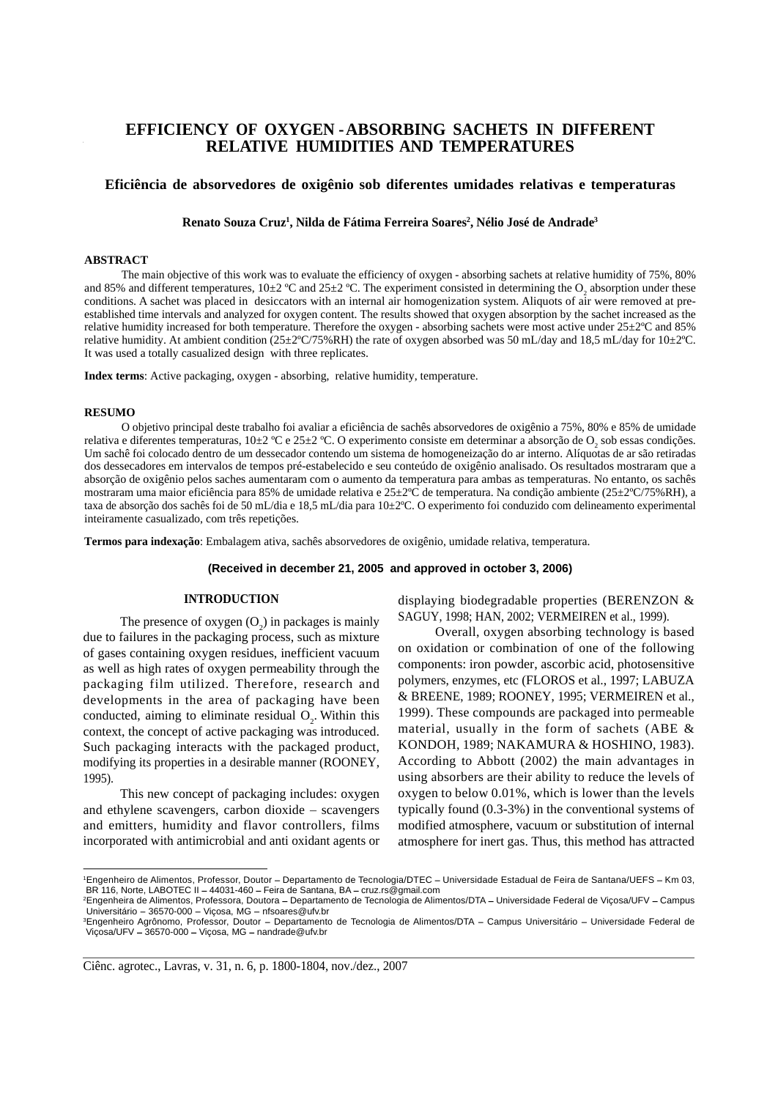## **EFFICIENCY OF OXYGEN-ABSORBING SACHETS IN DIFFERENT RELATIVE HUMIDITIES AND TEMPERATURES**

## **Eficiência de absorvedores de oxigênio sob diferentes umidades relativas e temperaturas**

Renato Souza Cruz<sup>ı</sup>, Nilda de Fátima Ferreira Soares<sup>2</sup>, Nélio José de Andrade<sup>3</sup> **, Nélio José de Andrade3**

### **ABSTRACT**

The main objective of this work was to evaluate the efficiency of oxygen - absorbing sachets at relative humidity of 75%, 80% and 85% and different temperatures,  $10\pm2$  °C and  $25\pm2$  °C. The experiment consisted in determining the O<sub>2</sub> absorption under these absorption under these conditions. A sachet was placed in desiccators with an internal air homogenization system. Aliquots of air were removed at pre established time intervals and analyzed for oxygen content. The results showed that oxygen absorption by the sachet increased as the relative humidity increased for both temperature. Therefore the oxygen - absorbing sachets were most active under 25±2ºC and 85% relative humidity. At ambient condition ( $25\pm2\degree$ C/75%RH) the rate of oxygen absorbed was 50 mL/day and 18,5 mL/day for 10 $\pm2\degree$ C. It was used a totally casualized design with three replicates.

**Index terms**: Active packaging, oxygen - absorbing, relative humidity, temperature.

### **RESUMO**

O objetivo principal deste trabalho foi avaliar a eficiência de sachês absorvedores de oxigênio a 75%, 80% e 85% de umidade relativa e diferentes temperaturas, 10±2 °C e 25±2 °C. O experimento consiste em determinar a absorção de O<sub>2</sub> sob essas condições. Um sachê foi colocado dentro de um dessecador contendo um sistema de homogeneização do ar interno. Alíquotas de ar são retiradas dos dessecadores em intervalos de tempos pré-estabelecido e seu conteúdo de oxigênio analisado. Os resultados mostraram que a absorção de oxigênio pelos saches aumentaram com o aumento da temperatura para ambas as temperaturas. No entanto, os sachês mostraram uma maior eficiência para 85% de umidade relativa e 25±2ºC de temperatura. Na condição ambiente (25±2ºC/75%RH), a taxa de absorção dos sachês foi de 50 mL/dia e 18,5 mL/dia para 10±2ºC. O experimento foi conduzido com delineamento experimental inteiramente casualizado, com três repetições.

**Termos para indexação**: Embalagem ativa, sachês absorvedores de oxigênio, umidade relativa, temperatura.

## **(Received in december 21, 2005 and approved in october 3, 2006)**

The presence of oxygen  $(O_2)$  in packages is mainly due to failures in the packaging process, such as mixture of gases containing oxygen residues, inefficient vacuum as well as high rates of oxygen permeability through the packaging film utilized. Therefore, research and developments in the area of packaging have been conducted, aiming to eliminate residual  $O<sub>2</sub>$ . Within this context, the concept of active packaging was introduced. Such packaging interacts with the packaged product, modifying its properties in a desirable manner (ROONEY,

and ethylene scavengers, carbon dioxide  $-$  scavengers incorporated with antimicrobial and anti oxidant agents or atmosphere for inert gas. Thus, this method has attracted

) in packages is mainly  $3A\cup 1$ , 1996, HAN, 2002, VERNIEIREN et al., 1999). displaying biodegradable properties (BERENZON & SAGUY, 1998; HAN, 2002; VERMEIREN et al., 1999).

**Example 16 THRODUCTION**<br>
The presence of oxygen (O<sub>2</sub>) in packages is mainly<br>
Unctus to failures in the packaging process, such as mixture<br>
Uncertainty overall, oxygen absorbing technology is based<br>
the to failures in the . Within this 1999). These compounds are packaged into permeable 1995). using absorbers are their ability to reduce the levels of This new concept of packaging includes: oxygen oxygen to below 0.01%, which is lower than the levels and emitters, humidity and flavor controllers, films modified atmosphere, vacuum or substitution of internal Overall, oxygen absorbing technology is based on oxidation or combination of one of the following components: iron powder, ascorbic acid, photosensitive polymers, enzymes, etc (FLOROS et al., 1997; LABUZA & BREENE, 1989; ROONEY, 1995; VERMEIREN et al., material, usually in the form of sachets (ABE & KONDOH, 1989; NAKAMURA & HOSHINO, 1983). According to Abbott (2002) the main advantages in typically found (0.3-3%) in the conventional systems of

<sup>&</sup>lt;sup>1</sup>Engenheiro de Alimentos, Professor, Doutor – Departamento de Tecnologia/DTEC – Universidade Estadual de Feira de Santana/UEFS – Km 03, BR 116, Norte, LABOTEC II - 44031-460 - Feira de Santana, BA - cruz.rs@gmail.com

<sup>&</sup>lt;sup>2</sup>Engenheira de Alimentos, Professora, Doutora - Departamento de Tecnologia de Alimentos/DTA - Universidade Federal de Viçosa/UFV - Campus Universitário - 36570-000 - Viçosa, MG - nfsoares@ufv.br

<sup>&</sup>lt;sup>3</sup>Engenheiro Agrônomo, Professor, Doutor – Departamento de Tecnologia de Alimentos/DTA – Campus Universitário – Universidade Federal de<br>Viçosa/UFV – 36570-000 – Viçosa, MG – nandrade@ufv.br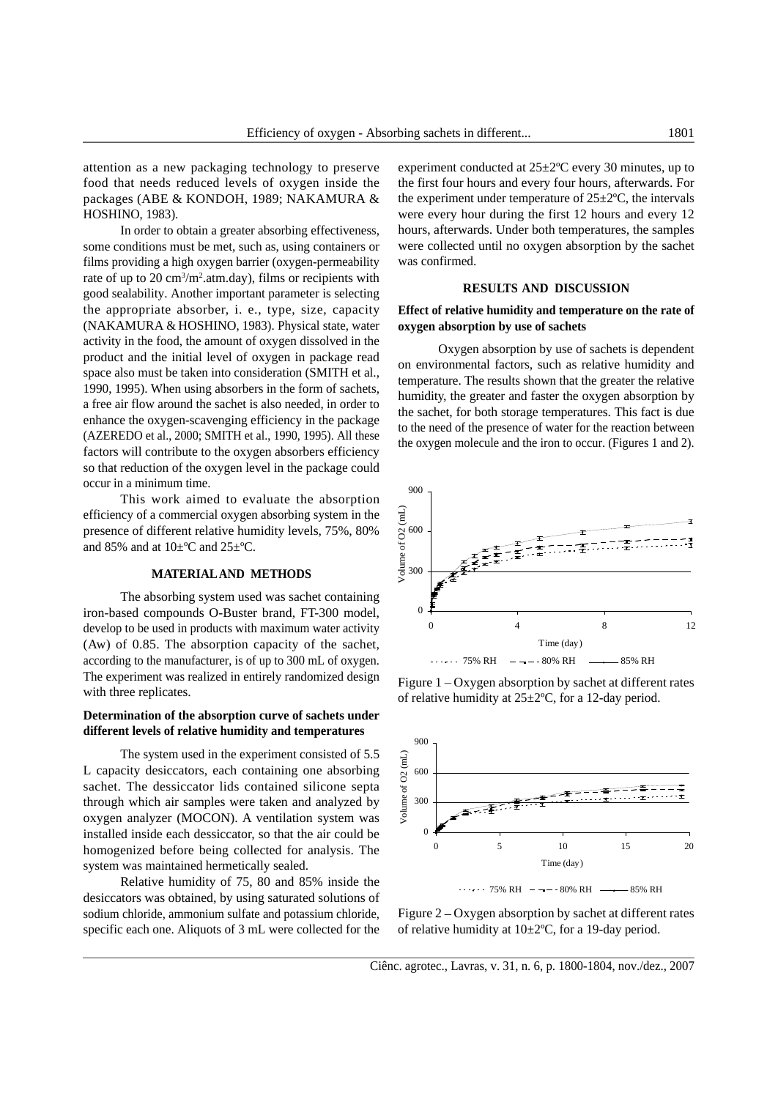attention as a new packaging technology to preserve

some conditions must be met, such as, using containers or films providing a high oxygen barrier (oxygen-permeability was confirmed. rate of up to 20 cm<sup>3</sup>/m<sup>2</sup>.atm.day), films or recipients with  $\lambda$  atm.day), films or recipients with good sealability. Another important parameter is selecting **EXECULTS** AND DISCUSSION the appropriate absorber, i. e., type, size, capacity **Effect of relative humidity and temperature on the rate of** (NAKAMURA & HOSHINO, 1983). Physical state, water activity in the food, the amount of oxygen dissolved in the product and the initial level of oxygen in package read space also must be taken into consideration (SMITH et al., 1990, 1995). When using absorbers in the form of sachets, a free air flow around the sachet is also needed, in order to enhance the oxygen-scavenging efficiency in the package (AZEREDO et al., 2000; SMITH et al., 1990, 1995). All these factors will contribute to the oxygen absorbers efficiency so that reduction of the oxygen level in the package could occur in a minimum time.

This work aimed to evaluate the absorption<br>ncy of a commercial oxygen absorbing system in the<br>ce of different relative humidity levels, 75%, 80%<br>% and at  $10\pm$ °C and  $25\pm$ °C.<br>**MATERIALAND METHODS** efficiency of a commercial oxygen absorbing system in the presence of different relative humidity levels, 75%, 80%  $\approx 600$ and 85% and at 10±ºC and 25±ºC.

The absorbing system used was sachet containing develop to be used in products with maximum water activity (Aw) of 0.85. The absorption capacity of the sachet, Time (day) according to the manufacturer, is of up to 300 mL of oxygen.  $\cdots$  75% RH  $\cdots$  30% RH  $\cdots$  85% RH The experiment was realized in entirely randomized design

## **Determination of the absorption curve of sachets under different levels of relative humidity and temperatures**

The system used in the experiment consisted of 5.5 acity desiccators, each containing one absorbing<br>
. The dessiccator lids contained silicone septa<br>
h which air samples were taken and analyzed by<br>
a analyzer (MOCON). A v L capacity desiccators, each containing one absorbing  $\overline{a}$  600 sachet. The dessiccator lids contained silicone septa through which air samples were taken and analyzed by  $\frac{8}{5}$  300 oxygen analyzer (MOCON). A ventilation system was homogenized before being collected for analysis. The system was maintained hermetically sealed. Time (day)

desiccators was obtained, by using saturated solutions of  $1.33\%$  RH  $-4 - 80\%$  RH  $-4 - 80\%$  RH  $-4 - 85\%$  RH sodium chloride, ammonium sulfate and potassium chloride, Figure 2 – Oxygen absorption by sachet at different rates specific each one. Aliquots of 3 mL were collected for the of relative humidity at  $10\pm2^{\circ}C$ , for a 19-day period.

food that needs reduced levels of oxygen inside the the first four hours and every four hours, afterwards. For packages (ABE & KONDOH, 1989; NAKAMURA & the experiment under temperature of  $25\pm2^{\circ}$ C, the intervals HOSHINO, 1983). were every hour during the first 12 hours and every 12 In order to obtain a greater absorbing effectiveness, hours, afterwards. Under both temperatures, the samples experiment conducted at 25±2ºC every 30 minutes, up to were collected until no oxygen absorption by the sachet was confirmed.

## **RESULTS AND DISCUSSION**

# **oxygen absorption by use of sachets**

 Oxygen absorption by use of sachets is dependent on environmental factors, such as relative humidity and temperature. The results shown that the greater the relative humidity, the greater and faster the oxygen absorption by the sachet, for both storage temperatures. This fact is due to the need of the presence of water for the reaction between the oxygen molecule and the iron to occur. (Figures 1 and 2).



with three replicates.<br>
of relative humidity at  $25\pm2^{\circ}$ C, for a 12-day period. Figure 1 - Oxygen absorption by sachet at different rates



Ciênc. agrotec., Lavras, v. 31, n. 6, p. 1800-1804, nov./dez., 2007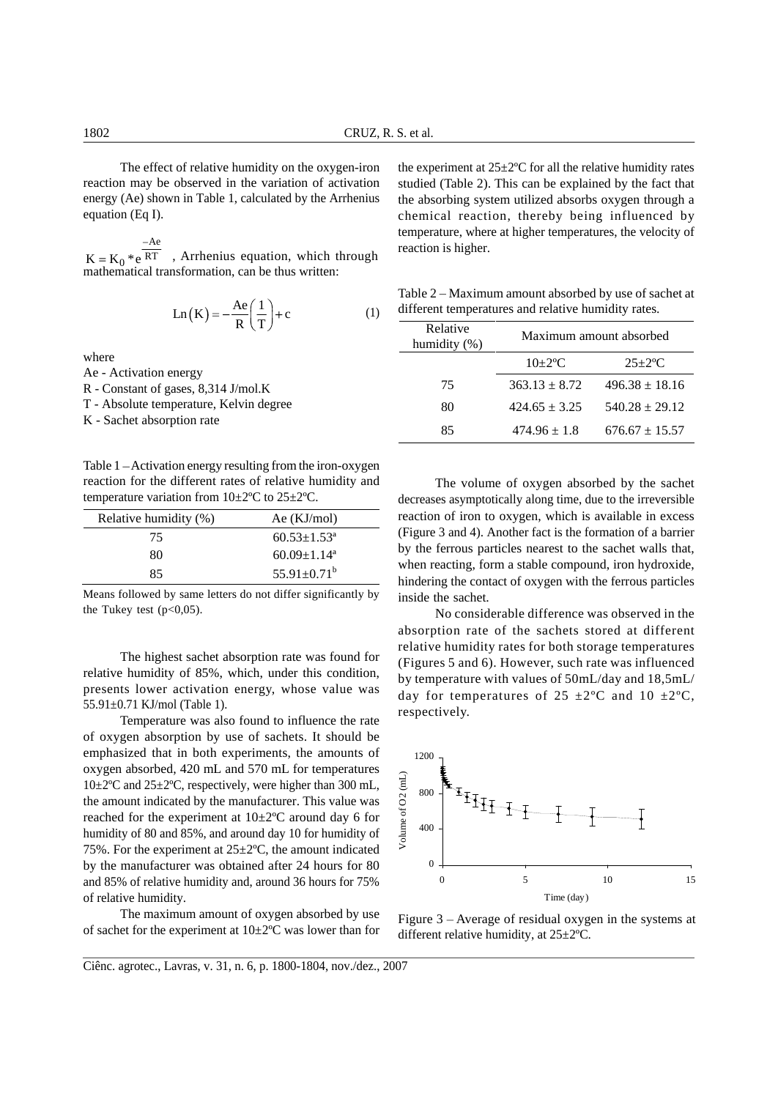$K = K_0 *e^{RT}$ , Arrhenius equation, which through reaction is light. mathematical transformation, can be thus written:

$$
Ln(K) = -\frac{Ae}{R} \left(\frac{1}{T}\right) + c \tag{1}
$$

Table  $1 -$ Activation energy resulting from the iron-oxygen reaction for the different rates of relative humidity and The volume of oxygen absorbed by the sachet

| Relative humidity (%) | Ae $(KJ/mol)$                 |
|-----------------------|-------------------------------|
| 75                    | $60.53 \pm 1.53^{\circ}$      |
| 80                    | $60.09 \pm 1.14$ <sup>a</sup> |
| 85                    | $55.91 \pm 0.71^b$            |

Means followed by same letters do not differ significantly by inside the sachet.

The highest sachet absorption rate was found for relative humidity of 85%, which, under this condition, presents lower activation energy, whose value was 55.91±0.71 KJ/mol (Table 1).

Temperature was also found to influence the rate of oxygen absorption by use of sachets. It should be emphasized that in both experiments, the amounts of 1200 oxygen absorbed, 420 mL and 570 mL for temperatures<br>10±2°C and 25±2°C, respectively, were higher than 300 mL,<br>the amount indicated by the manufacturer. This value was<br>reached for the experiment at 10±2°C around day 6 for<br> 10±2°C and 25±2°C, respectively, were higher than 300 mL,  $\frac{1}{2}$  800 the amount indicated by the manufacturer. This value was reached for the experiment at  $10\pm2^{\circ}\text{C}$  around day 6 for  $\frac{8}{\text{E}}$  400 humidity of 80 and 85%, and around day 10 for humidity of 75%. For the experiment at  $25 \pm 2$ °C, the amount indicated and 85% of relative humidity and, around 36 hours for 75% of relative humidity.

The maximum amount of oxygen absorbed by use of sachet for the experiment at  $10\pm2\degree$ C was lower than for

The effect of relative humidity on the oxygen-iron the experiment at  $25\pm2$ °C for all the relative humidity rates reaction may be observed in the variation of activation studied (Table 2). This can be explained by the fact that energy (Ae) shown in Table 1, calculated by the Arrhenius the absorbing system utilized absorbs oxygen through a equation (Eq I). chemical reaction, thereby being influenced by  $Ae$  and  $A$  are  $P$  and  $P$  are  $P$  and  $P$  are  $P$  and  $P$  are  $P$  and  $P$  are  $P$  and  $P$  are  $P$  and  $P$  and  $P$  and  $P$  and  $P$  and  $P$  and  $P$  and  $P$  and  $P$  and  $P$  and  $P$  and  $P$  and  $P$  and  $P$  and  $P$  and  $P$  temperature, where at higher temperatures, the velocity of reaction is higher.

 $\text{Ln}(\mathbf{K}) = -\frac{\text{Ae}}{n} \left( \frac{1}{n} \right) + c$  (1) different temperatures and relative humidity rates. (1) different temperatures and relative humidity rates. Table  $2 -$ Maximum amount absorbed by use of sachet at

| R(T)                                                           | Relative<br>umidity $(\%)$ |                  | Maximum amount absorbed              |
|----------------------------------------------------------------|----------------------------|------------------|--------------------------------------|
| where                                                          |                            | $0\pm2\degree$ C | $25 \pm 2$ °C                        |
| Ae - Activation energy<br>R - Constant of gases, 8,314 J/mol.K |                            |                  | $363.13 \pm 8.72$ $496.38 \pm 18.16$ |
| T - Absolute temperature, Kelvin degree                        |                            |                  | $424.65 \pm 3.25$ $540.28 \pm 29.12$ |
| K - Sachet absorption rate                                     |                            |                  | $474.96 \pm 1.8$ 676.67 $\pm$ 15.57  |

temperature variation from 10±2ºC to 25±2ºC. decreases asymptotically along time, due to the irreversible Relative humidity (%)  $Ae (KJ/mol)$  reaction of iron to oxygen, which is available in excess  $\overline{75}$  60.53±1.53<sup>ª</sup> (Figure 3 and 4). Another fact is the formation of a barrier  $80 \qquad 60.09 \pm 1.14$ <sup>a</sup> by the ferrors particles heats to the sachet wans that,  $85$   $55.91 \pm 0.71^b$  when reacting, form a static compound, from hydroxide, The volume of oxygen absorbed by the sachet<br>decreases asymptotically along time, due to the irreversible<br>reaction of irron to oxygen, which is available in excess<br>(Figure 3 and 4). Another fact is the formation of a barri by the ferrous particles nearest to the sachet walls that, when reacting, form a stable compound, iron hydroxide, hindering the contact of oxygen with the ferrous particles inside the sachet.

the Tukey test  $(p<0,05)$ . No considerable difference was observed in the absorption rate of the sachets stored at different relative humidity rates for both storage temperatures (Figures 5 and 6). However, such rate was influenced by temperature with values of 50mL/day and 18,5mL/ day for temperatures of  $25 \pm 2^{\circ}$ C and  $10 \pm 2^{\circ}$ C, respectively.



Figure  $3 -$  Average of residual oxygen in the systems at different relative humidity, at 25±2ºC.

Ciênc. agrotec., Lavras, v. 31, n. 6, p. 1800-1804, nov./dez., 2007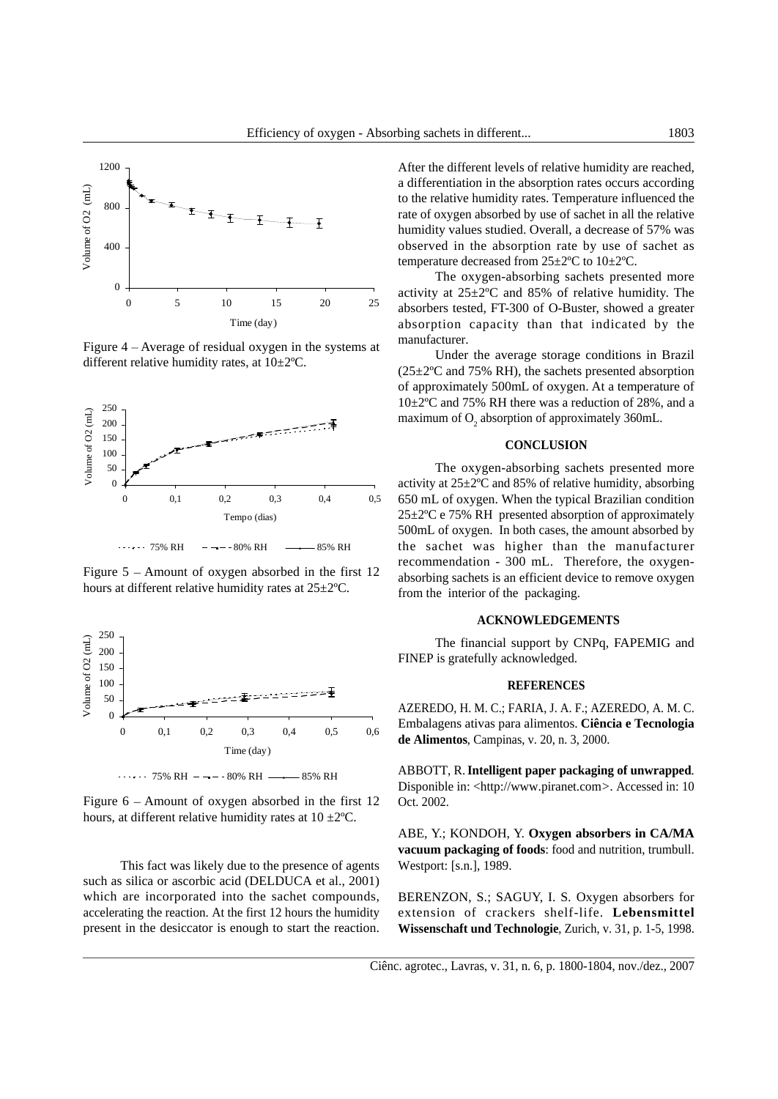

Figure  $4 -$ Average of residual oxygen in the systems at manufacturer. different relative humidity rates, at 10±2ºC.



Figure  $5 -$  Amount of oxygen absorbed in the first 12 hours at different relative humidity rates at 25±2ºC.



Figure  $6 -$  Amount of oxygen absorbed in the first  $12$  Oct. 2002. hours, at different relative humidity rates at  $10 \pm 2^{\circ}$ C.

This fact was likely due to the presence of agents such as silica or ascorbic acid (DELDUCA et al., 2001) which are incorporated into the sachet compounds, BERENZON, S.; SAGUY, I. S*.* Oxygen absorbers for

400  $\frac{1}{2}$  abserved in the absorption rate by use of sachet as  $\begin{array}{c|c}\n & \text{if } \\
\hline\n & \text{if } \\
\hline\n & \text{if } \\
\hline\n & \text{if } \\
\hline\n & \text{if } \\
\hline\n & \text{if } \\
\hline\n & \text{if } \\
\hline\n & \text{if } \\
\hline\n & \text{if } \\
\hline\n & \text{if } \\
\hline\n & \text{if } \\
\hline\n & \text{if } \\
\hline\n & \text{if } \\
\hline\n & \text{if } \\
\hline\n & \text{if } \\
\hline\n & \text{if } \\
\hline\n & \text{if } \\
\hline\n & \text{if } \\
\hline\n & \text{if } \\
\hline\n &$ a differentiation in the absorption rates occurs according to the relative humidity rates. Temperature influenced the humidity values studied. Overall, a decrease of 57% was temperature decreased from 25±2ºC to 10±2ºC.

 $0 +$  activity at  $25\pm2\degree$ C and 85% of relative humidity. The  $\frac{5}{5}$  10 15 20 25 absorbers tested, FT-300 of O-Buster, showed a greater Time (day) absorption capacity than that indicated by the The oxygen-absorbing sachets presented more manufacturer.

 $250 - 250$ Under the average storage conditions in Brazil  $(25\pm2\degree C$  and 75% RH), the sachets presented absorption of approximately 500mL of oxygen. At a temperature of 10±2ºC and 75% RH there was a reduction of 28%, and a

## **CONCLUSION**

 $\overline{0}$   $\overline{\phantom{0}}$   $\overline{\phantom{0}}$   $\overline{\phantom{0}}$   $\overline{\phantom{0}}$  activity at 25 $\pm$ 2°C and 85% of relative humidity, absorbing 0 0,1 0,2 0,3 0,4 0,5 650 mL of oxygen. When the typical Brazilian condition Tempo (dias)  $25\pm2\degree$ C e 75% RH presented absorption of approximately  $75\%$  RH  $80\%$  RH  $\longrightarrow$   $85\%$  RH the sachet was higher than the manufacturer 500mL of oxygen. In both cases, the amount absorbed by recommendation - 300 mL. Therefore, the oxygen absorbing sachets is an efficient device to remove oxygen from the interior of the packaging.

## **ACKNOWLEDGEMENTS**

 $200 -$ The financial support by CNPq, FAPEMIG and FINEP is gratefully acknowledged.

## **REFERENCES**

 $\frac{1}{2}$  $0,1$   $0,2$   $0,3$   $0,4$   $0,5$   $0,6$   $1,1,1$ AZEREDO, H. M. C.; FARIA, J. A. F.; AZEREDO, A. M. C. Embalagens ativas para alimentos. **Ciência e Tecnologia de Alimentos**, Campinas, v. 20, n. 3, 2000.

75% RH 80% RH 85% RH ABBOTT, R. **Intelligent paper packaging of unwrapped**. Disponible in: <http://www.piranet.com*>.* Accessed in: 10 Oct. 2002.

> ABE, Y.; KONDOH, Y. **Oxygen absorbers in CA/MA vacuum packaging of foods**: food and nutrition, trumbull. Westport: [s.n.], 1989.

accelerating the reaction. At the first 12 hours the humidity extension of crackers shelf-life. **Lebensmittel Wissenschaft und Technologie**, Zurich, v. 31, p. 1-5, 1998.